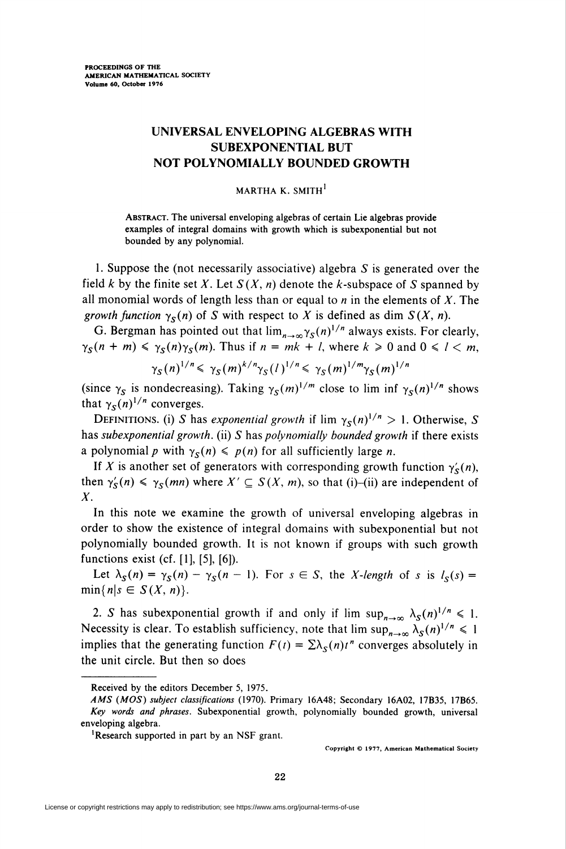## UNIVERSAL ENVELOPING ALGEBRAS WITH SUBEXPONENTIAL BUT NOT POLYNOMIALLY BOUNDED GROWTH

## MARTHA K. SMITH<sup>1</sup>

Abstract. The universal enveloping algebras of certain Lie algebras provide examples of integral domains with growth which is subexponential but not bounded by any polynomial.

1. Suppose the (not necessarily associative) algebra S is generated over the field k by the finite set X. Let  $S(X, n)$  denote the k-subspace of S spanned by all monomial words of length less than or equal to  $n$  in the elements of  $X$ . The growth function  $\gamma_S(n)$  of S with respect to X is defined as dim  $S(X, n)$ .

G. Bergman has pointed out that  $\lim_{n\to\infty} \gamma_S(n)^{1/n}$  always exists. For clearly,  $\gamma_S(n + m) \leq \gamma_S(n)\gamma_S(m)$ . Thus if  $n = mk + l$ , where  $k \geq 0$  and  $0 \leq l \leq m$ ,

$$
\gamma_S(n)^{1/n} \leq \gamma_S(m)^{k/n} \gamma_S(l)^{1/n} \leq \gamma_S(m)^{1/m} \gamma_S(m)^{1/n}
$$

(since  $\gamma_s$  is nondecreasing). Taking  $\gamma_s(m)^{1/m}$  close to lim inf  $\gamma_s(n)^{1/n}$  shows that  $\gamma_s(n)^{1/n}$  converges.

DEFINITIONS. (i) S has exponential growth if  $\lim_{x \to \infty} \gamma_s(n)^{1/n} > 1$ . Otherwise, S has subexponential growth. (ii) S has polynomially bounded growth if there exists a polynomial p with  $\gamma_S(n) \leq p(n)$  for all sufficiently large n.

If X is another set of generators with corresponding growth function  $\gamma'_{s}(n)$ , then  $\gamma'_{\mathcal{S}}(n) \leq \gamma_{\mathcal{S}}(mn)$  where  $X' \subseteq S(X, m)$ , so that (i)-(ii) are independent of  $X_{\cdot}$ 

In this note we examine the growth of universal enveloping algebras in order to show the existence of integral domains with subexponential but not polynomially bounded growth. It is not known if groups with such growth functions exist (cf. [1], [5], [6]).

Let  $\lambda_S(n) = \gamma_S(n) - \gamma_S(n-1)$ . For  $s \in S$ , the X-length of s is  $l_S(s) =$  $\min\{n|s \in S(X, n)\}.$ 

2. S has subexponential growth if and only if  $\lim_{n\to\infty} \lambda_s(n)^{1/n} \leq 1$ . Necessity is clear. To establish sufficiency, note that  $\limsup_{n\to\infty} \lambda_S(n)^{1/n} \leq 1$ implies that the generating function  $F(t) = \sum \lambda_{S}(n)t^{n}$  converges absolutely in the unit circle. But then so does

Copyright © 1977, American Mathematical Society

Received by the editors December 5, 1975.

AMS (MOS) subject classifications (1970). Primary 16A48; Secondary 16A02, 17B35, 17B65. Key words and phrases. Subexponential growth, polynomially bounded growth, universal enveloping algebra.

<sup>&#</sup>x27;Research supported in part by an NSF grant.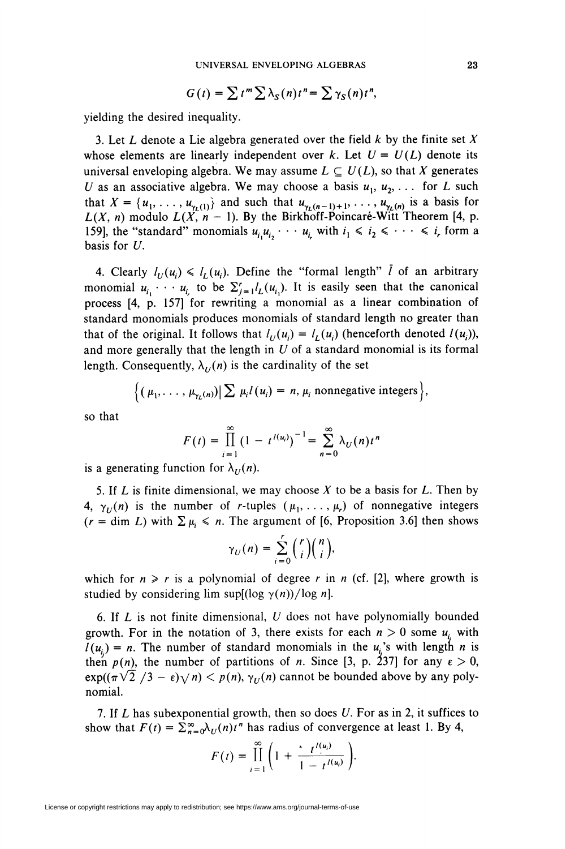$$
G(t) = \sum t^m \sum \lambda_S(n) t^n = \sum \gamma_S(n) t^n,
$$

yielding the desired inequality.

3. Let L denote a Lie algebra generated over the field  $k$  by the finite set  $X$ whose elements are linearly independent over k. Let  $U = U(L)$  denote its universal enveloping algebra. We may assume  $L \subseteq U(L)$ , so that X generates U as an associative algebra. We may choose a basis  $u_1, u_2, \ldots$  for L such that  $X = \{u_1, \ldots, u_{\gamma_L(1)}\}$  and such that  $u_{\gamma_L(n-1)+1}, \ldots, u_{\gamma_L(n)}$  is a basis for  $L(X, n)$  modulo  $L(X, n-1)$ . By the Birkhoff-Poincaré-Witt Theorem [4, p. 159], the "standard" monomials  $u_i u_i, \dots, u_i$  with  $i_1 \le i_2 \le \dots \le i_r$  form a basis for U.

4. Clearly  $l_U(u_i) \le l_U(u_i)$ . Define the "formal length"  $\overline{l}$  of an arbitrary monomial  $u_{i_1} \cdots u_{i_r}$  to be  $\sum_{j=1}^r l_L(u_{i_j})$ . It is easily seen that the canonical process [4, p. 157] for rewriting a monomial as a linear combination of standard monomials produces monomials of standard length no greater than that of the original. It follows that  $l_{U}(u_i) = l_{U}(u_i)$  (henceforth denoted  $l(u_i)$ ), and more generally that the length in  $U$  of a standard monomial is its formal length. Consequently,  $\lambda_U(n)$  is the cardinality of the set

$$
\Big\{ \big( \mu_1, \ldots, \mu_{\gamma_L(n)} \big) \Big| \sum \mu_i l(u_i) = n, \mu_i \text{ nonnegative integers} \Big\},\
$$

so that

$$
F(t) = \prod_{i=1}^{\infty} (1 - t^{l(u_i)})^{-1} = \sum_{n=0}^{\infty} \lambda_U(n) t^n
$$

is a generating function for  $\lambda_U(n)$ .

5. If L is finite dimensional, we may choose  $X$  to be a basis for L. Then by 4,  $\gamma_U(n)$  is the number of *r*-tuples  $(\mu_1, \ldots, \mu_r)$  of nonnegative integers  $(r = \dim L)$  with  $\sum \mu_i \leq n$ . The argument of [6, Proposition 3.6] then shows

$$
\gamma_U(n) = \sum_{i=0}^r \binom{r}{i} \binom{n}{i},
$$

which for  $n \ge r$  is a polynomial of degree r in n (cf. [2], where growth is studied by considering lim sup $[(\log \gamma(n))/\log n]$ .

6. If  $L$  is not finite dimensional,  $U$  does not have polynomially bounded growth. For in the notation of 3, there exists for each  $n > 0$  some  $u_i$  with  $l(u_i) = n$ . The number of standard monomials in the  $u_i$ 's with length n is then  $p(n)$ , the number of partitions of n. Since [3, p. 237] for any  $\varepsilon > 0$ ,  $exp((\pi \sqrt{2}/3 - \epsilon)\sqrt{n}) < p(n), \gamma_U(n)$  cannot be bounded above by any polynomial.

7. If L has subexponential growth, then so does U. For as in 2, it suffices to show that  $F(t) = \sum_{n=0}^{\infty} \lambda_U(n)t^n$  has radius of convergence at least 1. By 4,

$$
F(t) = \prod_{i=1}^{\infty} \left(1 + \frac{t^{i(u_i)}}{1 - t^{i(u_i)}}\right).
$$